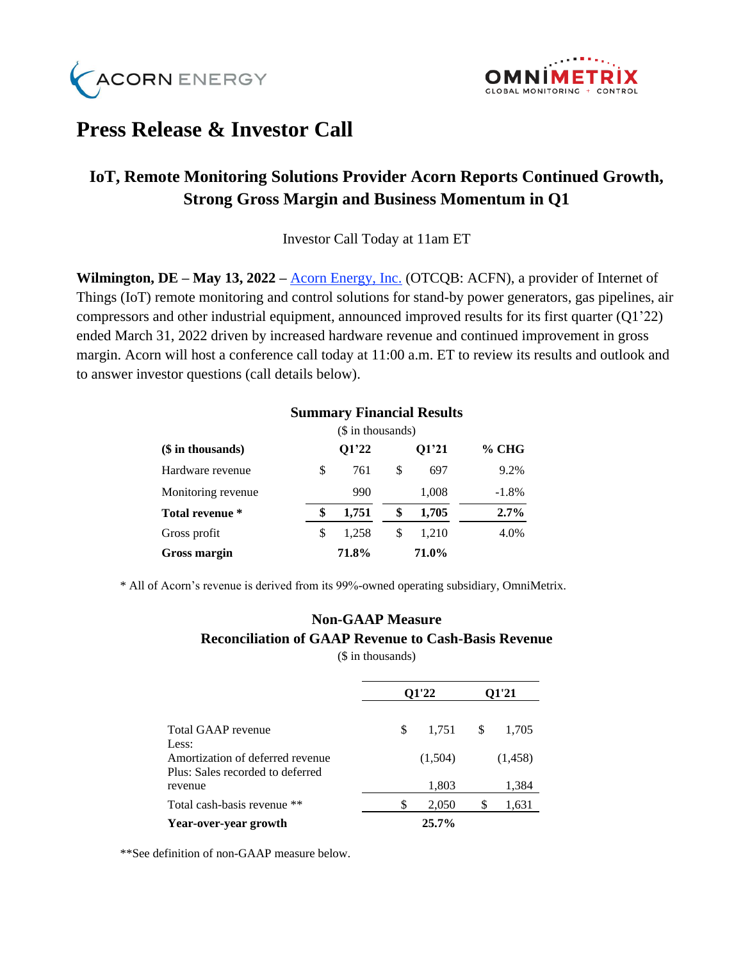



# **Press Release & Investor Call**

## **IoT, Remote Monitoring Solutions Provider Acorn Reports Continued Growth, Strong Gross Margin and Business Momentum in Q1**

Investor Call Today at 11am ET

**Wilmington, DE – May 13, 2022 –** <u>[Acorn Energy, Inc.](http://acornenergy.com/)</u> (OTCQB: ACFN), a provider of Internet of Things (IoT) remote monitoring and control solutions for stand-by power generators, gas pipelines, air compressors and other industrial equipment, announced improved results for its first quarter (Q1'22) ended March 31, 2022 driven by increased hardware revenue and continued improvement in gross margin. Acorn will host a conference call today at 11:00 a.m. ET to review its results and outlook and to answer investor questions (call details below).

|                    | $($$ in thousands) |       |    |       |         |
|--------------------|--------------------|-------|----|-------|---------|
| (\$ in thousands)  |                    | Q1'22 |    | Q1'21 | $%$ CHG |
| Hardware revenue   | \$                 | 761   | \$ | 697   | 9.2%    |
| Monitoring revenue |                    | 990   |    | 1,008 | $-1.8%$ |
| Total revenue *    | \$                 | 1,751 | \$ | 1,705 | 2.7%    |
| Gross profit       | \$                 | 1.258 | \$ | 1,210 | 4.0%    |
| Gross margin       |                    | 71.8% |    | 71.0% |         |

#### **Summary Financial Results**

\* All of Acorn's revenue is derived from its 99%-owned operating subsidiary, OmniMetrix.

## **Non-GAAP Measure Reconciliation of GAAP Revenue to Cash-Basis Revenue**

(\$ in thousands)

|                                  | 01'22 |          | 01'21 |         |
|----------------------------------|-------|----------|-------|---------|
|                                  |       |          |       |         |
| Total GAAP revenue               | \$    | 1.751    | \$    | 1,705   |
| Less:                            |       |          |       |         |
| Amortization of deferred revenue |       | (1,504)  |       | (1,458) |
| Plus: Sales recorded to deferred |       |          |       |         |
| revenue                          |       | 1,803    |       | 1,384   |
| Total cash-basis revenue **      | \$    | 2,050    | S     | 1,631   |
| Year-over-year growth            |       | $25.7\%$ |       |         |

\*\*See definition of non-GAAP measure below.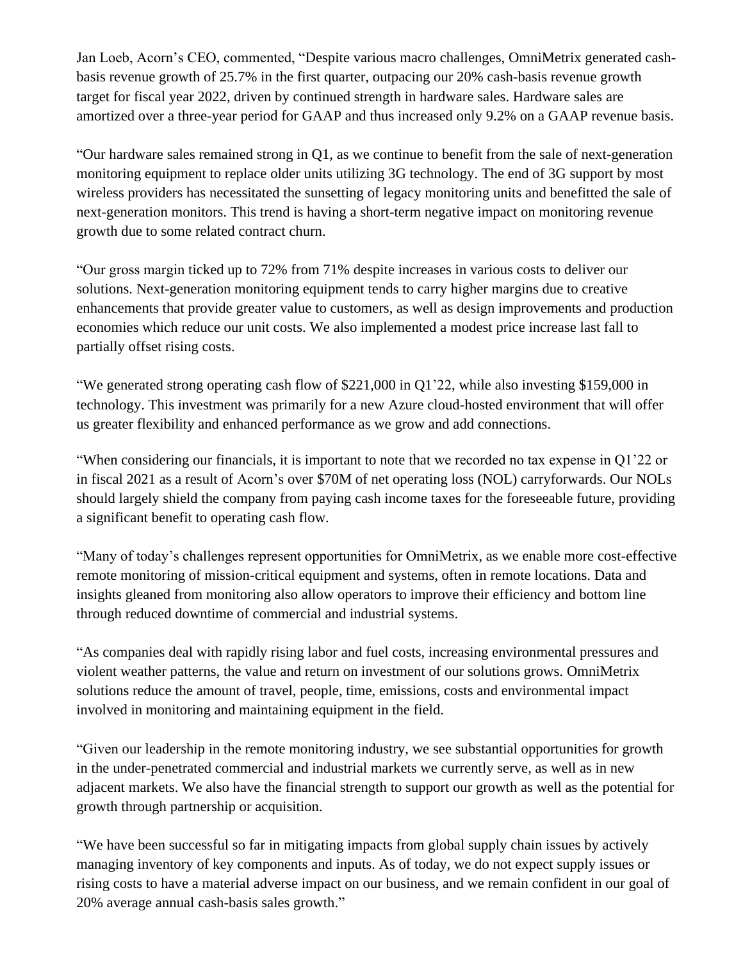Jan Loeb, Acorn's CEO, commented, "Despite various macro challenges, OmniMetrix generated cashbasis revenue growth of 25.7% in the first quarter, outpacing our 20% cash-basis revenue growth target for fiscal year 2022, driven by continued strength in hardware sales. Hardware sales are amortized over a three-year period for GAAP and thus increased only 9.2% on a GAAP revenue basis.

"Our hardware sales remained strong in Q1, as we continue to benefit from the sale of next-generation monitoring equipment to replace older units utilizing 3G technology. The end of 3G support by most wireless providers has necessitated the sunsetting of legacy monitoring units and benefitted the sale of next-generation monitors. This trend is having a short-term negative impact on monitoring revenue growth due to some related contract churn.

"Our gross margin ticked up to 72% from 71% despite increases in various costs to deliver our solutions. Next-generation monitoring equipment tends to carry higher margins due to creative enhancements that provide greater value to customers, as well as design improvements and production economies which reduce our unit costs. We also implemented a modest price increase last fall to partially offset rising costs.

"We generated strong operating cash flow of \$221,000 in Q1'22, while also investing \$159,000 in technology. This investment was primarily for a new Azure cloud-hosted environment that will offer us greater flexibility and enhanced performance as we grow and add connections.

"When considering our financials, it is important to note that we recorded no tax expense in Q1'22 or in fiscal 2021 as a result of Acorn's over \$70M of net operating loss (NOL) carryforwards. Our NOLs should largely shield the company from paying cash income taxes for the foreseeable future, providing a significant benefit to operating cash flow.

"Many of today's challenges represent opportunities for OmniMetrix, as we enable more cost-effective remote monitoring of mission-critical equipment and systems, often in remote locations. Data and insights gleaned from monitoring also allow operators to improve their efficiency and bottom line through reduced downtime of commercial and industrial systems.

"As companies deal with rapidly rising labor and fuel costs, increasing environmental pressures and violent weather patterns, the value and return on investment of our solutions grows. OmniMetrix solutions reduce the amount of travel, people, time, emissions, costs and environmental impact involved in monitoring and maintaining equipment in the field.

"Given our leadership in the remote monitoring industry, we see substantial opportunities for growth in the under-penetrated commercial and industrial markets we currently serve, as well as in new adjacent markets. We also have the financial strength to support our growth as well as the potential for growth through partnership or acquisition.

"We have been successful so far in mitigating impacts from global supply chain issues by actively managing inventory of key components and inputs. As of today, we do not expect supply issues or rising costs to have a material adverse impact on our business, and we remain confident in our goal of 20% average annual cash-basis sales growth."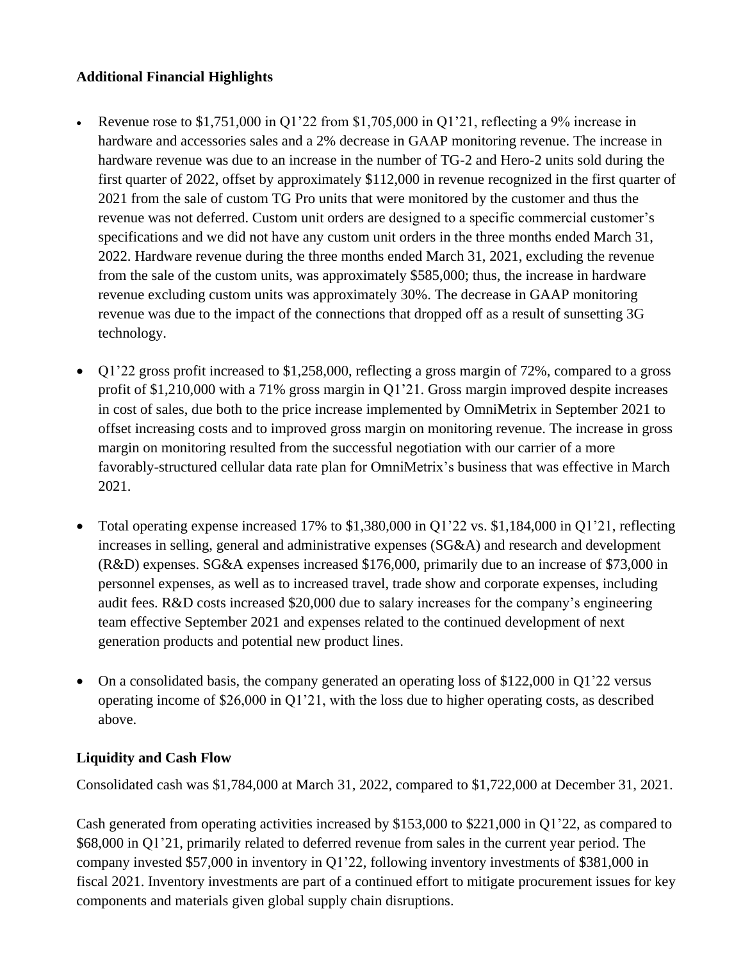### **Additional Financial Highlights**

- Revenue rose to \$1,751,000 in Q1'22 from \$1,705,000 in Q1'21, reflecting a 9% increase in hardware and accessories sales and a 2% decrease in GAAP monitoring revenue. The increase in hardware revenue was due to an increase in the number of TG-2 and Hero-2 units sold during the first quarter of 2022, offset by approximately \$112,000 in revenue recognized in the first quarter of 2021 from the sale of custom TG Pro units that were monitored by the customer and thus the revenue was not deferred. Custom unit orders are designed to a specific commercial customer's specifications and we did not have any custom unit orders in the three months ended March 31, 2022. Hardware revenue during the three months ended March 31, 2021, excluding the revenue from the sale of the custom units, was approximately \$585,000; thus, the increase in hardware revenue excluding custom units was approximately 30%. The decrease in GAAP monitoring revenue was due to the impact of the connections that dropped off as a result of sunsetting 3G technology.
- Q1'22 gross profit increased to \$1,258,000, reflecting a gross margin of 72%, compared to a gross profit of \$1,210,000 with a 71% gross margin in Q1'21. Gross margin improved despite increases in cost of sales, due both to the price increase implemented by OmniMetrix in September 2021 to offset increasing costs and to improved gross margin on monitoring revenue. The increase in gross margin on monitoring resulted from the successful negotiation with our carrier of a more favorably-structured cellular data rate plan for OmniMetrix's business that was effective in March 2021.
- Total operating expense increased 17% to  $$1,380,000$  in Q1'22 vs.  $$1,184,000$  in Q1'21, reflecting increases in selling, general and administrative expenses (SG&A) and research and development (R&D) expenses. SG&A expenses increased \$176,000, primarily due to an increase of \$73,000 in personnel expenses, as well as to increased travel, trade show and corporate expenses, including audit fees. R&D costs increased \$20,000 due to salary increases for the company's engineering team effective September 2021 and expenses related to the continued development of next generation products and potential new product lines.
- On a consolidated basis, the company generated an operating loss of \$122,000 in Q1'22 versus operating income of \$26,000 in Q1'21, with the loss due to higher operating costs, as described above.

## **Liquidity and Cash Flow**

Consolidated cash was \$1,784,000 at March 31, 2022, compared to \$1,722,000 at December 31, 2021.

Cash generated from operating activities increased by \$153,000 to \$221,000 in Q1'22, as compared to \$68,000 in Q1'21, primarily related to deferred revenue from sales in the current year period. The company invested \$57,000 in inventory in Q1'22, following inventory investments of \$381,000 in fiscal 2021. Inventory investments are part of a continued effort to mitigate procurement issues for key components and materials given global supply chain disruptions.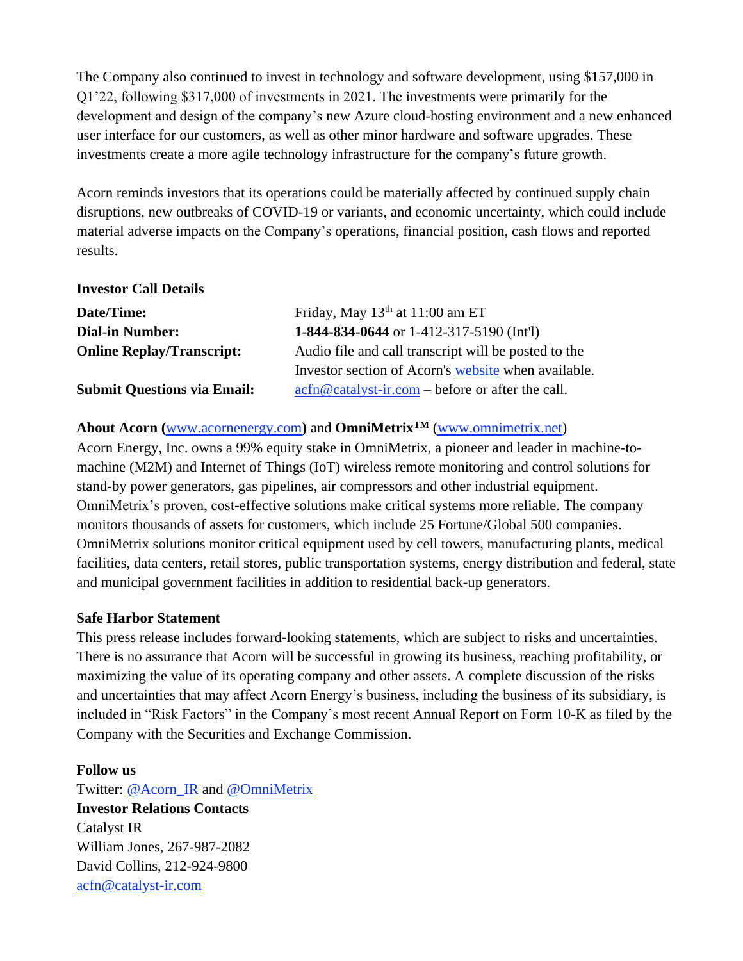The Company also continued to invest in technology and software development, using \$157,000 in Q1'22, following \$317,000 of investments in 2021. The investments were primarily for the development and design of the company's new Azure cloud-hosting environment and a new enhanced user interface for our customers, as well as other minor hardware and software upgrades. These investments create a more agile technology infrastructure for the company's future growth.

Acorn reminds investors that its operations could be materially affected by continued supply chain disruptions, new outbreaks of COVID-19 or variants, and economic uncertainty, which could include material adverse impacts on the Company's operations, financial position, cash flows and reported results.

#### **Investor Call Details**

| Date/Time:                         | Friday, May $13th$ at $11:00$ am ET                                                                                           |
|------------------------------------|-------------------------------------------------------------------------------------------------------------------------------|
| <b>Dial-in Number:</b>             | 1-844-834-0644 or 1-412-317-5190 (Int'l)                                                                                      |
| <b>Online Replay/Transcript:</b>   | Audio file and call transcript will be posted to the                                                                          |
|                                    | Investor section of Acorn's website when available.                                                                           |
| <b>Submit Questions via Email:</b> | $\operatorname{acfn}\nolimits @ \operatorname{catalyst-ir}.\nolimits com - \operatorname{before}\nolimits$ or after the call. |

## **About Acorn (**[www.acornenergy.com](http://www.acornenergy.com/)**)** and **OmniMetrixTM** [\(www.omnimetrix.net\)](http://www.omnimetrix.net/)

Acorn Energy, Inc. owns a 99% equity stake in OmniMetrix, a pioneer and leader in machine-tomachine (M2M) and Internet of Things (IoT) wireless remote monitoring and control solutions for stand-by power generators, gas pipelines, air compressors and other industrial equipment. OmniMetrix's proven, cost-effective solutions make critical systems more reliable. The company monitors thousands of assets for customers, which include 25 Fortune/Global 500 companies. OmniMetrix solutions monitor critical equipment used by cell towers, manufacturing plants, medical facilities, data centers, retail stores, public transportation systems, energy distribution and federal, state and municipal government facilities in addition to residential back-up generators.

### **Safe Harbor Statement**

This press release includes forward-looking statements, which are subject to risks and uncertainties. There is no assurance that Acorn will be successful in growing its business, reaching profitability, or maximizing the value of its operating company and other assets. A complete discussion of the risks and uncertainties that may affect Acorn Energy's business, including the business of its subsidiary, is included in "Risk Factors" in the Company's most recent Annual Report on Form 10-K as filed by the Company with the Securities and Exchange Commission.

### **Follow us**

Twitter: [@Acorn\\_IR](https://twitter.com/ACORN_IR) and [@OmniMetrix](https://twitter.com/OmniMetrix) **Investor Relations Contacts** Catalyst IR William Jones, 267-987-2082 David Collins, 212-924-9800 [acfn@catalyst-ir.com](mailto:acfn@catalyst-ir.com)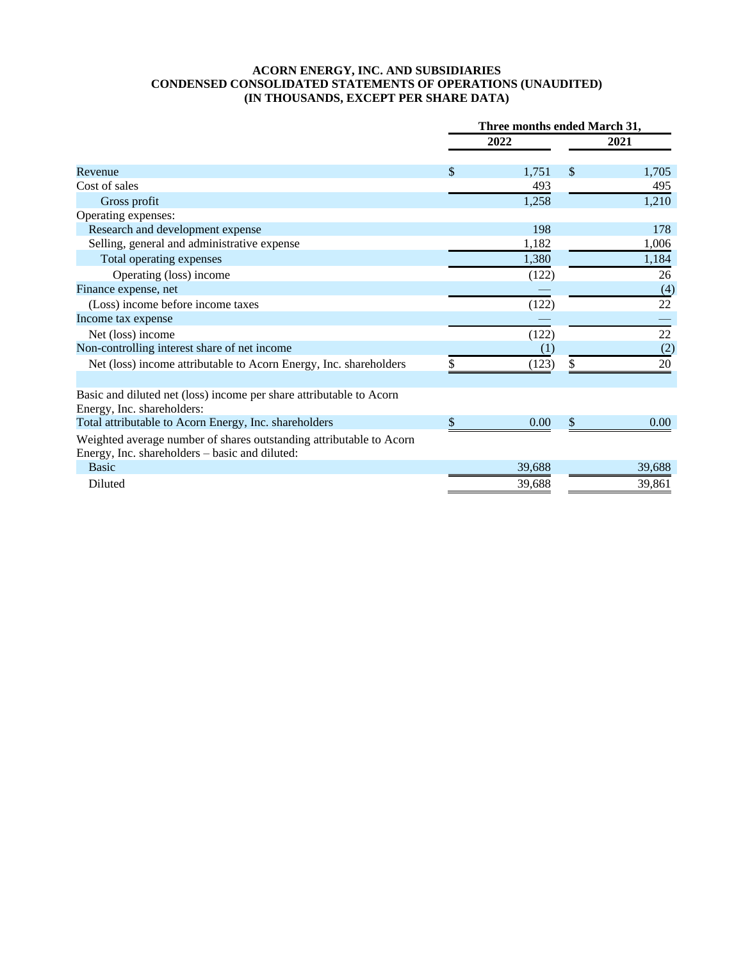#### **ACORN ENERGY, INC. AND SUBSIDIARIES CONDENSED CONSOLIDATED STATEMENTS OF OPERATIONS (UNAUDITED) (IN THOUSANDS, EXCEPT PER SHARE DATA)**

|                                                                                                                       | Three months ended March 31, |        |      |        |
|-----------------------------------------------------------------------------------------------------------------------|------------------------------|--------|------|--------|
|                                                                                                                       | 2022                         |        | 2021 |        |
| Revenue                                                                                                               | \$                           | 1,751  | \$   | 1,705  |
| Cost of sales                                                                                                         |                              | 493    |      | 495    |
| Gross profit                                                                                                          |                              | 1,258  |      | 1,210  |
| Operating expenses:                                                                                                   |                              |        |      |        |
| Research and development expense                                                                                      |                              | 198    |      | 178    |
| Selling, general and administrative expense                                                                           |                              | 1,182  |      | 1,006  |
| Total operating expenses                                                                                              |                              | 1,380  |      | 1,184  |
| Operating (loss) income                                                                                               |                              | (122)  |      | 26     |
| Finance expense, net                                                                                                  |                              |        |      | (4)    |
| (Loss) income before income taxes                                                                                     |                              | (122)  |      | 22     |
| Income tax expense                                                                                                    |                              |        |      |        |
| Net (loss) income                                                                                                     |                              | (122)  |      | 22     |
| Non-controlling interest share of net income                                                                          |                              | (1)    |      | (2)    |
| Net (loss) income attributable to Acorn Energy, Inc. shareholders                                                     |                              | (123)  | \$   | 20     |
| Basic and diluted net (loss) income per share attributable to Acorn<br>Energy, Inc. shareholders:                     |                              |        |      |        |
| Total attributable to Acorn Energy, Inc. shareholders                                                                 |                              | 0.00   | \$   | 0.00   |
| Weighted average number of shares outstanding attributable to Acorn<br>Energy, Inc. shareholders - basic and diluted: |                              |        |      |        |
| <b>Basic</b>                                                                                                          |                              | 39,688 |      | 39,688 |
| Diluted                                                                                                               |                              | 39,688 |      | 39,861 |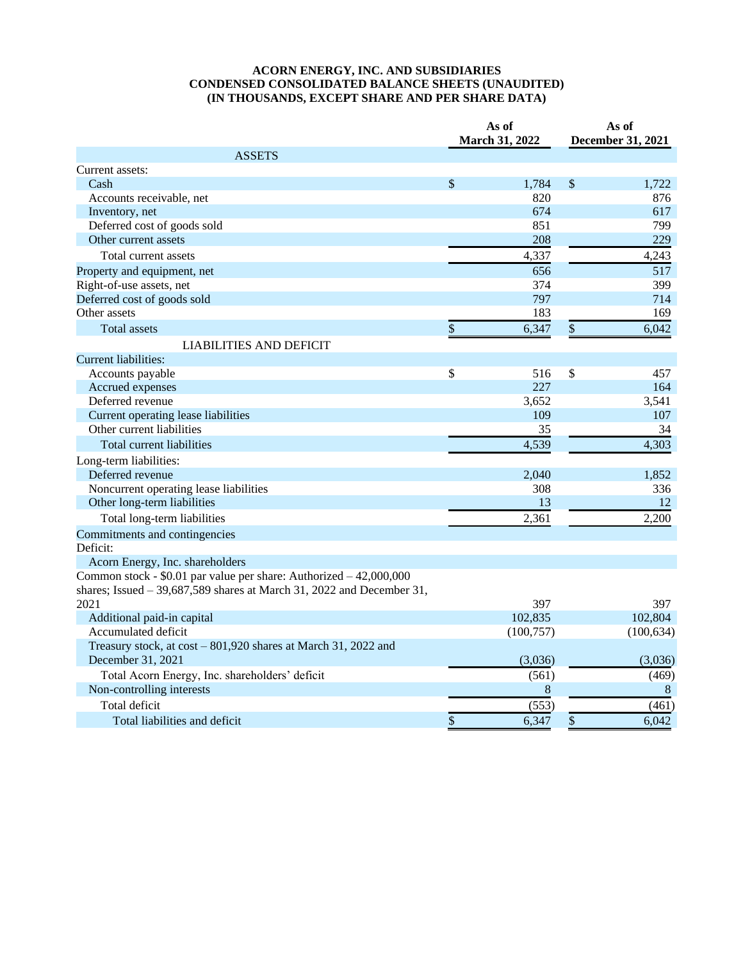#### **ACORN ENERGY, INC. AND SUBSIDIARIES CONDENSED CONSOLIDATED BALANCE SHEETS (UNAUDITED) (IN THOUSANDS, EXCEPT SHARE AND PER SHARE DATA)**

|                                                                        |    | As of<br>March 31, 2022 |              | As of<br><b>December 31, 2021</b> |  |
|------------------------------------------------------------------------|----|-------------------------|--------------|-----------------------------------|--|
| <b>ASSETS</b>                                                          |    |                         |              |                                   |  |
| Current assets:                                                        |    |                         |              |                                   |  |
| Cash                                                                   | \$ | 1,784                   | $\$\$        | 1,722                             |  |
| Accounts receivable, net                                               |    | 820                     |              | 876                               |  |
| Inventory, net                                                         |    | 674                     |              | 617                               |  |
| Deferred cost of goods sold                                            |    | 851                     |              | 799                               |  |
| Other current assets                                                   |    | 208                     |              | 229                               |  |
| Total current assets                                                   |    | 4,337                   |              | 4,243                             |  |
| Property and equipment, net                                            |    | 656                     |              | 517                               |  |
| Right-of-use assets, net                                               |    | 374                     |              | 399                               |  |
| Deferred cost of goods sold                                            |    | 797                     |              | 714                               |  |
| Other assets                                                           |    | 183                     |              | 169                               |  |
| <b>Total assets</b>                                                    | \$ | 6,347                   | $\sqrt{\ }$  | 6,042                             |  |
| <b>LIABILITIES AND DEFICIT</b>                                         |    |                         |              |                                   |  |
| <b>Current liabilities:</b>                                            |    |                         |              |                                   |  |
| Accounts payable                                                       | \$ | 516                     | $\mathbb{S}$ | 457                               |  |
| Accrued expenses                                                       |    | 227                     |              | 164                               |  |
| Deferred revenue                                                       |    | 3,652                   |              | 3,541                             |  |
| Current operating lease liabilities                                    |    | 109                     |              | 107                               |  |
| Other current liabilities                                              |    | 35                      |              | 34                                |  |
| Total current liabilities                                              |    | 4,539                   |              | 4,303                             |  |
| Long-term liabilities:                                                 |    |                         |              |                                   |  |
| Deferred revenue                                                       |    | 2,040                   |              | 1,852                             |  |
| Noncurrent operating lease liabilities                                 |    | 308                     |              | 336                               |  |
| Other long-term liabilities                                            |    | 13                      |              | 12                                |  |
| Total long-term liabilities                                            |    | 2,361                   |              | 2,200                             |  |
| Commitments and contingencies                                          |    |                         |              |                                   |  |
| Deficit:                                                               |    |                         |              |                                   |  |
| Acorn Energy, Inc. shareholders                                        |    |                         |              |                                   |  |
| Common stock - \$0.01 par value per share: Authorized - 42,000,000     |    |                         |              |                                   |  |
| shares; Issued $-39,687,589$ shares at March 31, 2022 and December 31, |    |                         |              |                                   |  |
| 2021                                                                   |    | 397                     |              | 397                               |  |
| Additional paid-in capital                                             |    | 102,835                 |              | 102,804                           |  |
| Accumulated deficit                                                    |    | (100, 757)              |              | (100, 634)                        |  |
| Treasury stock, at cost – 801,920 shares at March 31, 2022 and         |    |                         |              |                                   |  |
| December 31, 2021                                                      |    | (3,036)                 |              | (3,036)                           |  |
| Total Acorn Energy, Inc. shareholders' deficit                         |    | (561)                   |              | (469)                             |  |
| Non-controlling interests                                              |    | $\,8\,$                 |              | 8                                 |  |
| Total deficit                                                          |    | (553)                   |              | (461)                             |  |
| Total liabilities and deficit                                          | \$ | 6,347                   | \$           | 6,042                             |  |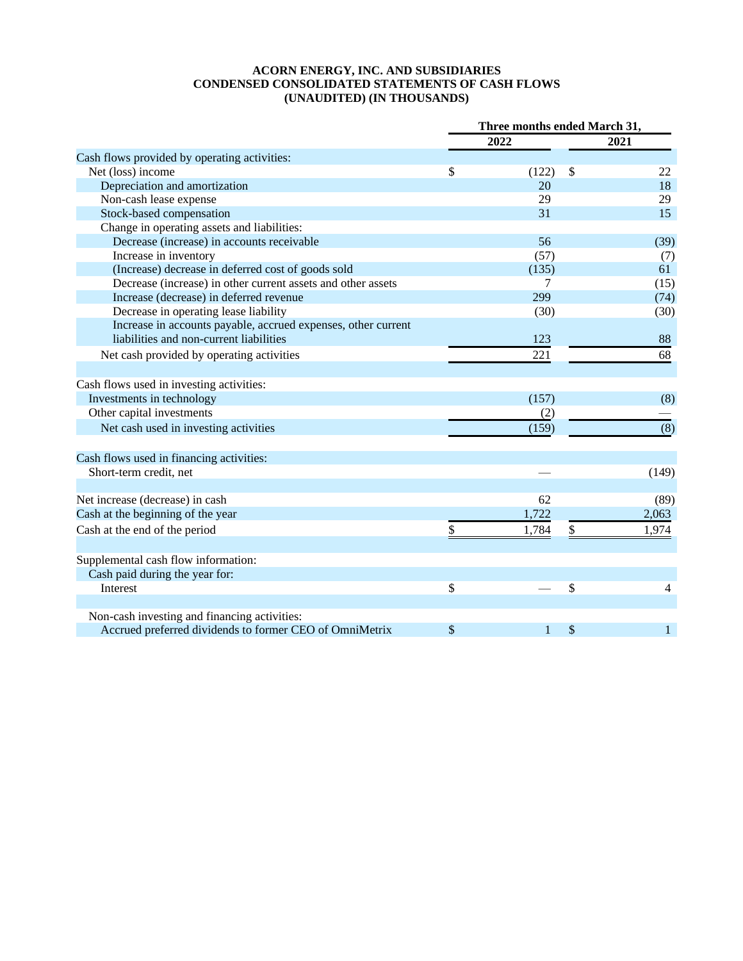#### **ACORN ENERGY, INC. AND SUBSIDIARIES CONDENSED CONSOLIDATED STATEMENTS OF CASH FLOWS (UNAUDITED) (IN THOUSANDS)**

|                                                               | Three months ended March 31, |       |    |                |
|---------------------------------------------------------------|------------------------------|-------|----|----------------|
|                                                               |                              | 2022  |    | 2021           |
| Cash flows provided by operating activities:                  |                              |       |    |                |
| Net (loss) income                                             | \$                           | (122) | \$ | 22             |
| Depreciation and amortization                                 |                              | 20    |    | 18             |
| Non-cash lease expense                                        |                              | 29    |    | 29             |
| Stock-based compensation                                      |                              | 31    |    | 15             |
| Change in operating assets and liabilities:                   |                              |       |    |                |
| Decrease (increase) in accounts receivable                    |                              | 56    |    | (39)           |
| Increase in inventory                                         |                              | (57)  |    | (7)            |
| (Increase) decrease in deferred cost of goods sold            |                              | (135) |    | 61             |
| Decrease (increase) in other current assets and other assets  |                              | 7     |    | (15)           |
| Increase (decrease) in deferred revenue                       |                              | 299   |    | (74)           |
| Decrease in operating lease liability                         |                              | (30)  |    | (30)           |
| Increase in accounts payable, accrued expenses, other current |                              |       |    |                |
| liabilities and non-current liabilities                       |                              | 123   |    | 88             |
| Net cash provided by operating activities                     |                              | 221   |    | 68             |
|                                                               |                              |       |    |                |
| Cash flows used in investing activities:                      |                              |       |    |                |
| Investments in technology                                     |                              | (157) |    | (8)            |
| Other capital investments                                     |                              | (2)   |    |                |
| Net cash used in investing activities                         |                              | (159) |    | (8)            |
|                                                               |                              |       |    |                |
| Cash flows used in financing activities:                      |                              |       |    |                |
| Short-term credit, net                                        |                              |       |    | (149)          |
|                                                               |                              |       |    |                |
| Net increase (decrease) in cash                               |                              | 62    |    | (89)           |
| Cash at the beginning of the year                             |                              | 1,722 |    | 2,063          |
| Cash at the end of the period                                 | \$                           | 1,784 | \$ | 1,974          |
|                                                               |                              |       |    |                |
| Supplemental cash flow information:                           |                              |       |    |                |
| Cash paid during the year for:                                |                              |       |    |                |
| Interest                                                      | \$                           |       | \$ | $\overline{4}$ |
|                                                               |                              |       |    |                |
| Non-cash investing and financing activities:                  |                              |       |    |                |
| Accrued preferred dividends to former CEO of OmniMetrix       | \$                           | 1     | \$ | 1              |